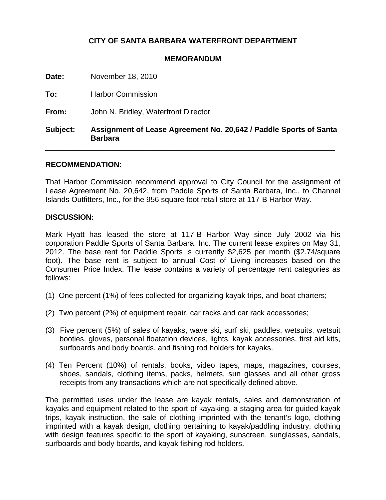## **CITY OF SANTA BARBARA WATERFRONT DEPARTMENT**

## **MEMORANDUM**

| Subject: | Assignment of Lease Agreement No. 20,642 / Paddle Sports of Santa<br><b>Barbara</b> |
|----------|-------------------------------------------------------------------------------------|
| From:    | John N. Bridley, Waterfront Director                                                |
| To:      | <b>Harbor Commission</b>                                                            |
| Date:    | November 18, 2010                                                                   |

## **RECOMMENDATION:**

That Harbor Commission recommend approval to City Council for the assignment of Lease Agreement No. 20,642, from Paddle Sports of Santa Barbara, Inc., to Channel Islands Outfitters, Inc., for the 956 square foot retail store at 117-B Harbor Way.

## **DISCUSSION:**

Mark Hyatt has leased the store at 117-B Harbor Way since July 2002 via his corporation Paddle Sports of Santa Barbara, Inc. The current lease expires on May 31, 2012. The base rent for Paddle Sports is currently \$2,625 per month (\$2.74/square foot). The base rent is subject to annual Cost of Living increases based on the Consumer Price Index. The lease contains a variety of percentage rent categories as follows:

- (1) One percent (1%) of fees collected for organizing kayak trips, and boat charters;
- (2) Two percent (2%) of equipment repair, car racks and car rack accessories;
- (3) Five percent (5%) of sales of kayaks, wave ski, surf ski, paddles, wetsuits, wetsuit booties, gloves, personal floatation devices, lights, kayak accessories, first aid kits, surfboards and body boards, and fishing rod holders for kayaks.
- (4) Ten Percent (10%) of rentals, books, video tapes, maps, magazines, courses, shoes, sandals, clothing items, packs, helmets, sun glasses and all other gross receipts from any transactions which are not specifically defined above.

The permitted uses under the lease are kayak rentals, sales and demonstration of kayaks and equipment related to the sport of kayaking, a staging area for guided kayak trips, kayak instruction, the sale of clothing imprinted with the tenant's logo, clothing imprinted with a kayak design, clothing pertaining to kayak/paddling industry, clothing with design features specific to the sport of kayaking, sunscreen, sunglasses, sandals, surfboards and body boards, and kayak fishing rod holders.